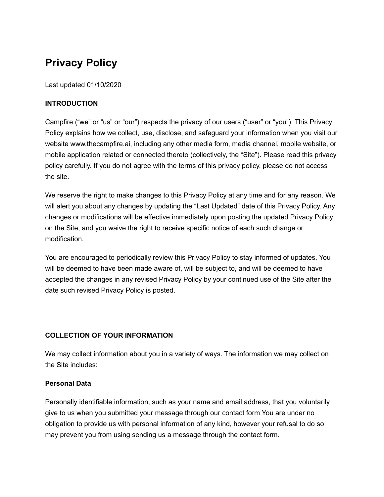# **Privacy Policy**

Last updated 01/10/2020

# **INTRODUCTION**

Campfire ("we" or "us" or "our") respects the privacy of our users ("user" or "you"). This Privacy Policy explains how we collect, use, disclose, and safeguard your information when you visit our website www.thecampfire.ai, including any other media form, media channel, mobile website, or mobile application related or connected thereto (collectively, the "Site"). Please read this privacy policy carefully. If you do not agree with the terms of this privacy policy, please do not access the site.

We reserve the right to make changes to this Privacy Policy at any time and for any reason. We will alert you about any changes by updating the "Last Updated" date of this Privacy Policy. Any changes or modifications will be effective immediately upon posting the updated Privacy Policy on the Site, and you waive the right to receive specific notice of each such change or modification.

You are encouraged to periodically review this Privacy Policy to stay informed of updates. You will be deemed to have been made aware of, will be subject to, and will be deemed to have accepted the changes in any revised Privacy Policy by your continued use of the Site after the date such revised Privacy Policy is posted.

# **COLLECTION OF YOUR INFORMATION**

We may collect information about you in a variety of ways. The information we may collect on the Site includes:

# **Personal Data**

Personally identifiable information, such as your name and email address, that you voluntarily give to us when you submitted your message through our contact form You are under no obligation to provide us with personal information of any kind, however your refusal to do so may prevent you from using sending us a message through the contact form.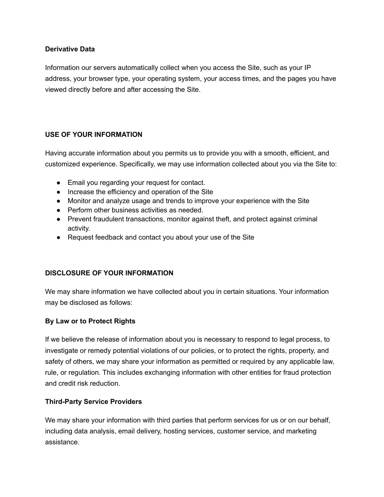#### **Derivative Data**

Information our servers automatically collect when you access the Site, such as your IP address, your browser type, your operating system, your access times, and the pages you have viewed directly before and after accessing the Site.

# **USE OF YOUR INFORMATION**

Having accurate information about you permits us to provide you with a smooth, efficient, and customized experience. Specifically, we may use information collected about you via the Site to:

- Email you regarding your request for contact.
- Increase the efficiency and operation of the Site
- Monitor and analyze usage and trends to improve your experience with the Site
- Perform other business activities as needed.
- Prevent fraudulent transactions, monitor against theft, and protect against criminal activity.
- Request feedback and contact you about your use of the Site

# **DISCLOSURE OF YOUR INFORMATION**

We may share information we have collected about you in certain situations. Your information may be disclosed as follows:

# **By Law or to Protect Rights**

If we believe the release of information about you is necessary to respond to legal process, to investigate or remedy potential violations of our policies, or to protect the rights, property, and safety of others, we may share your information as permitted or required by any applicable law, rule, or regulation. This includes exchanging information with other entities for fraud protection and credit risk reduction.

# **Third-Party Service Providers**

We may share your information with third parties that perform services for us or on our behalf, including data analysis, email delivery, hosting services, customer service, and marketing assistance.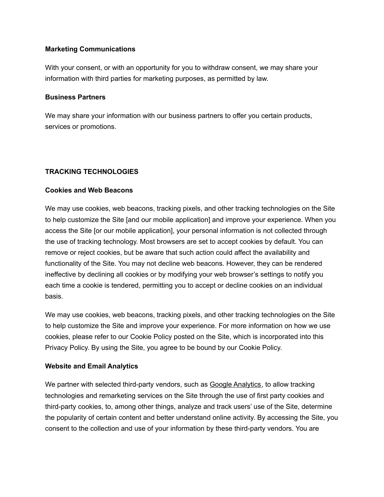#### **Marketing Communications**

With your consent, or with an opportunity for you to withdraw consent, we may share your information with third parties for marketing purposes, as permitted by law.

#### **Business Partners**

We may share your information with our business partners to offer you certain products, services or promotions.

#### **TRACKING TECHNOLOGIES**

#### **Cookies and Web Beacons**

We may use cookies, web beacons, tracking pixels, and other tracking technologies on the Site to help customize the Site [and our mobile application] and improve your experience. When you access the Site [or our mobile application], your personal information is not collected through the use of tracking technology. Most browsers are set to accept cookies by default. You can remove or reject cookies, but be aware that such action could affect the availability and functionality of the Site. You may not decline web beacons. However, they can be rendered ineffective by declining all cookies or by modifying your web browser's settings to notify you each time a cookie is tendered, permitting you to accept or decline cookies on an individual basis.

We may use cookies, web beacons, tracking pixels, and other tracking technologies on the Site to help customize the Site and improve your experience. For more information on how we use cookies, please refer to our Cookie Policy posted on the Site, which is incorporated into this Privacy Policy. By using the Site, you agree to be bound by our Cookie Policy.

#### **Website and Email Analytics**

We partner with selected third-party vendors, such as Google [Analytics,](https://support.google.com/analytics/answer/6004245?hl=en) to allow tracking technologies and remarketing services on the Site through the use of first party cookies and third-party cookies, to, among other things, analyze and track users' use of the Site, determine the popularity of certain content and better understand online activity. By accessing the Site, you consent to the collection and use of your information by these third-party vendors. You are